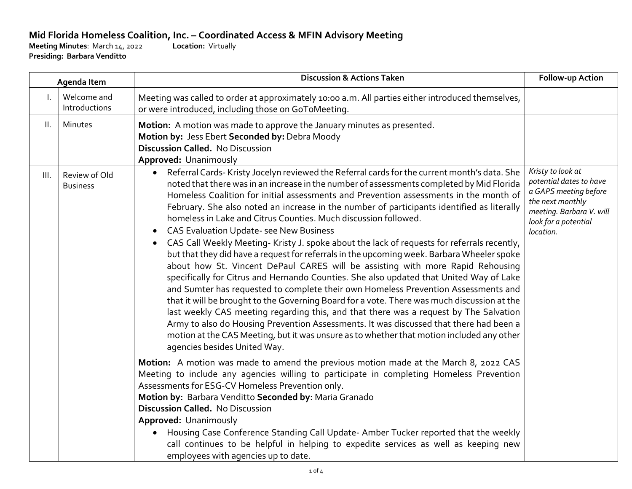## **Mid Florida Homeless Coalition, Inc. – Coordinated Access & MFIN Advisory Meeting Menutes: March 14, 2022 Location: Virtually**

**Meeting Minutes: March 14, 2022 Presiding: Barbara Venditto**

| Agenda Item |                                  | <b>Discussion &amp; Actions Taken</b>                                                                                                                                                                                                                                                                                                                                                                                                                                                                                                                                                                                                                                                                                                                                                                                                                                                                                                                                                                                                                                                                                                                                                                                                                                                                                                                                                                                                                                                                                                                                                                                                                                                  | Follow-up Action                                                                                                                                           |
|-------------|----------------------------------|----------------------------------------------------------------------------------------------------------------------------------------------------------------------------------------------------------------------------------------------------------------------------------------------------------------------------------------------------------------------------------------------------------------------------------------------------------------------------------------------------------------------------------------------------------------------------------------------------------------------------------------------------------------------------------------------------------------------------------------------------------------------------------------------------------------------------------------------------------------------------------------------------------------------------------------------------------------------------------------------------------------------------------------------------------------------------------------------------------------------------------------------------------------------------------------------------------------------------------------------------------------------------------------------------------------------------------------------------------------------------------------------------------------------------------------------------------------------------------------------------------------------------------------------------------------------------------------------------------------------------------------------------------------------------------------|------------------------------------------------------------------------------------------------------------------------------------------------------------|
| Ι.          | Welcome and<br>Introductions     | Meeting was called to order at approximately 10:00 a.m. All parties either introduced themselves,<br>or were introduced, including those on GoToMeeting.                                                                                                                                                                                                                                                                                                                                                                                                                                                                                                                                                                                                                                                                                                                                                                                                                                                                                                                                                                                                                                                                                                                                                                                                                                                                                                                                                                                                                                                                                                                               |                                                                                                                                                            |
| Ш.          | Minutes                          | Motion: A motion was made to approve the January minutes as presented.<br>Motion by: Jess Ebert Seconded by: Debra Moody<br><b>Discussion Called.</b> No Discussion<br>Approved: Unanimously                                                                                                                                                                                                                                                                                                                                                                                                                                                                                                                                                                                                                                                                                                                                                                                                                                                                                                                                                                                                                                                                                                                                                                                                                                                                                                                                                                                                                                                                                           |                                                                                                                                                            |
| III.        | Review of Old<br><b>Business</b> | Referral Cards- Kristy Jocelyn reviewed the Referral cards for the current month's data. She<br>noted that there was in an increase in the number of assessments completed by Mid Florida<br>Homeless Coalition for initial assessments and Prevention assessments in the month of<br>February. She also noted an increase in the number of participants identified as literally<br>homeless in Lake and Citrus Counties. Much discussion followed.<br><b>CAS Evaluation Update- see New Business</b><br>CAS Call Weekly Meeting- Kristy J. spoke about the lack of requests for referrals recently,<br>but that they did have a request for referrals in the upcoming week. Barbara Wheeler spoke<br>about how St. Vincent DePaul CARES will be assisting with more Rapid Rehousing<br>specifically for Citrus and Hernando Counties. She also updated that United Way of Lake<br>and Sumter has requested to complete their own Homeless Prevention Assessments and<br>that it will be brought to the Governing Board for a vote. There was much discussion at the<br>last weekly CAS meeting regarding this, and that there was a request by The Salvation<br>Army to also do Housing Prevention Assessments. It was discussed that there had been a<br>motion at the CAS Meeting, but it was unsure as to whether that motion included any other<br>agencies besides United Way.<br>Motion: A motion was made to amend the previous motion made at the March 8, 2022 CAS<br>Meeting to include any agencies willing to participate in completing Homeless Prevention<br>Assessments for ESG-CV Homeless Prevention only.<br>Motion by: Barbara Venditto Seconded by: Maria Granado | Kristy to look at<br>potential dates to have<br>a GAPS meeting before<br>the next monthly<br>meeting. Barbara V. will<br>look for a potential<br>location. |
|             |                                  | <b>Discussion Called.</b> No Discussion                                                                                                                                                                                                                                                                                                                                                                                                                                                                                                                                                                                                                                                                                                                                                                                                                                                                                                                                                                                                                                                                                                                                                                                                                                                                                                                                                                                                                                                                                                                                                                                                                                                |                                                                                                                                                            |
|             |                                  | Approved: Unanimously<br>Housing Case Conference Standing Call Update-Amber Tucker reported that the weekly<br>call continues to be helpful in helping to expedite services as well as keeping new<br>employees with agencies up to date.                                                                                                                                                                                                                                                                                                                                                                                                                                                                                                                                                                                                                                                                                                                                                                                                                                                                                                                                                                                                                                                                                                                                                                                                                                                                                                                                                                                                                                              |                                                                                                                                                            |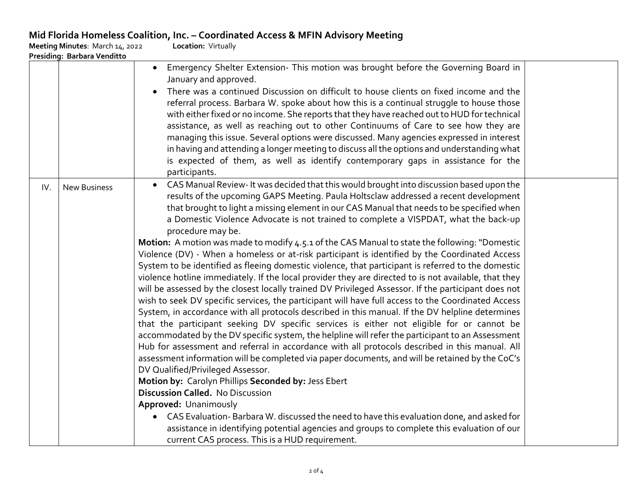## **Mid Florida Homeless Coalition, Inc. – Coordinated Access & MFIN Advisory Meeting**

|     | Meeting Minutes: March 14, 2022 | <b>Location: Virtually</b>                                                                                                                                                                                                                                                                                                                                                                                                                                                                                                                                                                                                                                                                                                                                                                                                                                                                                                                                                                                                                                                                                                                                                                                                                                                                                                                                                                                                                                                                                                                                                                                                                                                                                                                                                                                                                                                                                                                |
|-----|---------------------------------|-------------------------------------------------------------------------------------------------------------------------------------------------------------------------------------------------------------------------------------------------------------------------------------------------------------------------------------------------------------------------------------------------------------------------------------------------------------------------------------------------------------------------------------------------------------------------------------------------------------------------------------------------------------------------------------------------------------------------------------------------------------------------------------------------------------------------------------------------------------------------------------------------------------------------------------------------------------------------------------------------------------------------------------------------------------------------------------------------------------------------------------------------------------------------------------------------------------------------------------------------------------------------------------------------------------------------------------------------------------------------------------------------------------------------------------------------------------------------------------------------------------------------------------------------------------------------------------------------------------------------------------------------------------------------------------------------------------------------------------------------------------------------------------------------------------------------------------------------------------------------------------------------------------------------------------------|
|     | Presiding: Barbara Venditto     | Emergency Shelter Extension- This motion was brought before the Governing Board in<br>$\bullet$<br>January and approved.<br>There was a continued Discussion on difficult to house clients on fixed income and the<br>referral process. Barbara W. spoke about how this is a continual struggle to house those<br>with either fixed or no income. She reports that they have reached out to HUD for technical<br>assistance, as well as reaching out to other Continuums of Care to see how they are<br>managing this issue. Several options were discussed. Many agencies expressed in interest<br>in having and attending a longer meeting to discuss all the options and understanding what<br>is expected of them, as well as identify contemporary gaps in assistance for the<br>participants.                                                                                                                                                                                                                                                                                                                                                                                                                                                                                                                                                                                                                                                                                                                                                                                                                                                                                                                                                                                                                                                                                                                                       |
| IV. | <b>New Business</b>             | CAS Manual Review- It was decided that this would brought into discussion based upon the<br>results of the upcoming GAPS Meeting. Paula Holtsclaw addressed a recent development<br>that brought to light a missing element in our CAS Manual that needs to be specified when<br>a Domestic Violence Advocate is not trained to complete a VISPDAT, what the back-up<br>procedure may be.<br>Motion: A motion was made to modify 4.5.1 of the CAS Manual to state the following: "Domestic<br>Violence (DV) - When a homeless or at-risk participant is identified by the Coordinated Access<br>System to be identified as fleeing domestic violence, that participant is referred to the domestic<br>violence hotline immediately. If the local provider they are directed to is not available, that they<br>will be assessed by the closest locally trained DV Privileged Assessor. If the participant does not<br>wish to seek DV specific services, the participant will have full access to the Coordinated Access<br>System, in accordance with all protocols described in this manual. If the DV helpline determines<br>that the participant seeking DV specific services is either not eligible for or cannot be<br>accommodated by the DV specific system, the helpline will refer the participant to an Assessment<br>Hub for assessment and referral in accordance with all protocols described in this manual. All<br>assessment information will be completed via paper documents, and will be retained by the CoC's<br>DV Qualified/Privileged Assessor.<br>Motion by: Carolyn Phillips Seconded by: Jess Ebert<br>Discussion Called. No Discussion<br>Approved: Unanimously<br>• CAS Evaluation-Barbara W. discussed the need to have this evaluation done, and asked for<br>assistance in identifying potential agencies and groups to complete this evaluation of our<br>current CAS process. This is a HUD requirement. |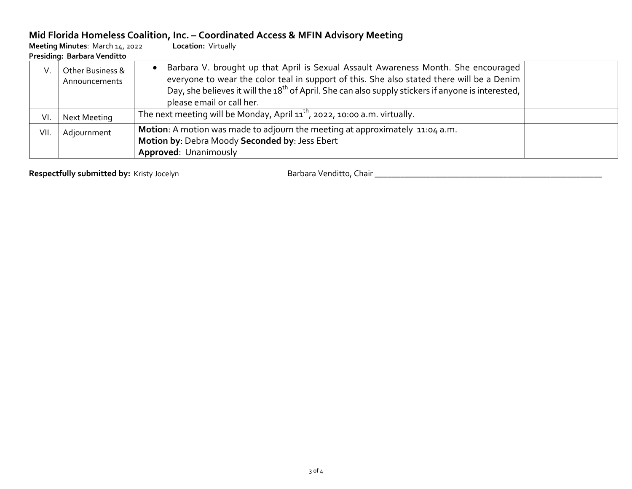## **Mid Florida Homeless Coalition, Inc. – Coordinated Access & MFIN Advisory Meeting**

| Meeting Minutes: March 14, 2022<br>Presiding: Barbara Venditto |                                   | Location: Virtually                                                                                                                                                                                                                                                                                                             |  |
|----------------------------------------------------------------|-----------------------------------|---------------------------------------------------------------------------------------------------------------------------------------------------------------------------------------------------------------------------------------------------------------------------------------------------------------------------------|--|
| V.                                                             | Other Business &<br>Announcements | Barbara V. brought up that April is Sexual Assault Awareness Month. She encouraged<br>everyone to wear the color teal in support of this. She also stated there will be a Denim<br>Day, she believes it will the $18^{th}$ of April. She can also supply stickers if anyone is interested, $\vert$<br>please email or call her. |  |
| VI.                                                            | Next Meeting                      | The next meeting will be Monday, April $11^{th}$ , 2022, 10:00 a.m. virtually.                                                                                                                                                                                                                                                  |  |
| VII.                                                           | Adjournment                       | Motion: A motion was made to adjourn the meeting at approximately 11:04 a.m.<br>Motion by: Debra Moody Seconded by: Jess Ebert<br>Approved: Unanimously                                                                                                                                                                         |  |

**Respectfully submitted by:** Kristy Jocelyn Barbara Venditto, Chair \_\_\_\_\_\_\_\_\_\_\_\_\_\_\_\_\_\_\_\_\_\_\_\_\_\_\_\_\_\_\_\_\_\_\_\_\_\_\_\_\_\_\_\_\_\_\_\_\_\_\_\_\_